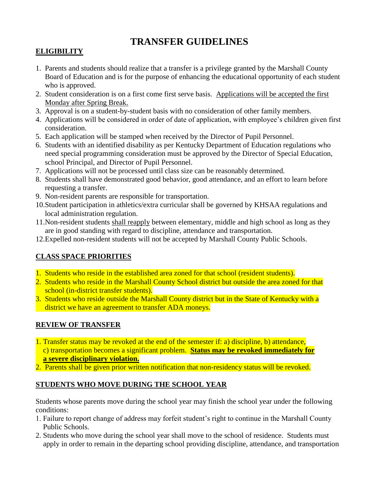# **TRANSFER GUIDELINES**

# **ELIGIBILITY**

- 1. Parents and students should realize that a transfer is a privilege granted by the Marshall County Board of Education and is for the purpose of enhancing the educational opportunity of each student who is approved.
- 2. Student consideration is on a first come first serve basis. Applications will be accepted the first Monday after Spring Break.
- 3. Approval is on a student-by-student basis with no consideration of other family members.
- 4. Applications will be considered in order of date of application, with employee's children given first consideration.
- 5. Each application will be stamped when received by the Director of Pupil Personnel.
- 6. Students with an identified disability as per Kentucky Department of Education regulations who need special programming consideration must be approved by the Director of Special Education, school Principal, and Director of Pupil Personnel.
- 7. Applications will not be processed until class size can be reasonably determined.
- 8. Students shall have demonstrated good behavior, good attendance, and an effort to learn before requesting a transfer.
- 9. Non-resident parents are responsible for transportation.
- 10.Student participation in athletics/extra curricular shall be governed by KHSAA regulations and local administration regulation.
- 11.Non-resident students shall reapply between elementary, middle and high school as long as they are in good standing with regard to discipline, attendance and transportation.
- 12.Expelled non-resident students will not be accepted by Marshall County Public Schools.

# **CLASS SPACE PRIORITIES**

- 1. Students who reside in the established area zoned for that school (resident students).
- 2. Students who reside in the Marshall County School district but outside the area zoned for that school (in-district transfer students).
- 3. Students who reside outside the Marshall County district but in the State of Kentucky with a district we have an agreement to transfer ADA moneys.

#### **REVIEW OF TRANSFER**

- 1. Transfer status may be revoked at the end of the semester if: a) discipline, b) attendance, c) transportation becomes a significant problem. **Status may be revoked immediately for a severe disciplinary violation.**
- 2. Parents shall be given prior written notification that non-residency status will be revoked.

# **STUDENTS WHO MOVE DURING THE SCHOOL YEAR**

Students whose parents move during the school year may finish the school year under the following conditions:

- 1. Failure to report change of address may forfeit student's right to continue in the Marshall County Public Schools.
- 2. Students who move during the school year shall move to the school of residence. Students must apply in order to remain in the departing school providing discipline, attendance, and transportation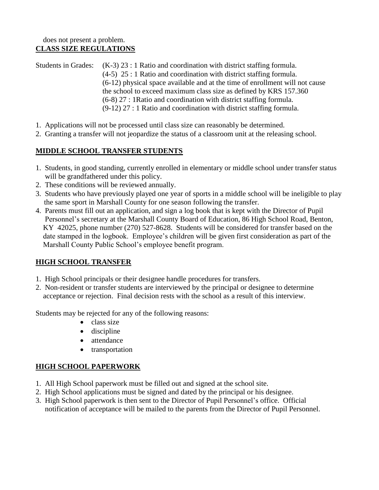Students in Grades: (K-3) 23 : 1 Ratio and coordination with district staffing formula. (4-5) 25 : 1 Ratio and coordination with district staffing formula. (6-12) physical space available and at the time of enrollment will not cause the school to exceed maximum class size as defined by KRS 157.360 (6-8) 27 : 1Ratio and coordination with district staffing formula. (9-12) 27 : 1 Ratio and coordination with district staffing formula.

- 1. Applications will not be processed until class size can reasonably be determined.
- 2. Granting a transfer will not jeopardize the status of a classroom unit at the releasing school.

#### **MIDDLE SCHOOL TRANSFER STUDENTS**

- 1. Students, in good standing, currently enrolled in elementary or middle school under transfer status will be grandfathered under this policy.
- 2. These conditions will be reviewed annually.
- 3. Students who have previously played one year of sports in a middle school will be ineligible to play the same sport in Marshall County for one season following the transfer.
- 4. Parents must fill out an application, and sign a log book that is kept with the Director of Pupil Personnel's secretary at the Marshall County Board of Education, 86 High School Road, Benton, KY 42025, phone number (270) 527-8628. Students will be considered for transfer based on the date stamped in the logbook. Employee's children will be given first consideration as part of the Marshall County Public School's employee benefit program.

# **HIGH SCHOOL TRANSFER**

- 1. High School principals or their designee handle procedures for transfers.
- 2. Non-resident or transfer students are interviewed by the principal or designee to determine acceptance or rejection. Final decision rests with the school as a result of this interview.

Students may be rejected for any of the following reasons:

- class size
- discipline
- attendance
- transportation

#### **HIGH SCHOOL PAPERWORK**

- 1. All High School paperwork must be filled out and signed at the school site.
- 2. High School applications must be signed and dated by the principal or his designee.
- 3. High School paperwork is then sent to the Director of Pupil Personnel's office. Official notification of acceptance will be mailed to the parents from the Director of Pupil Personnel.